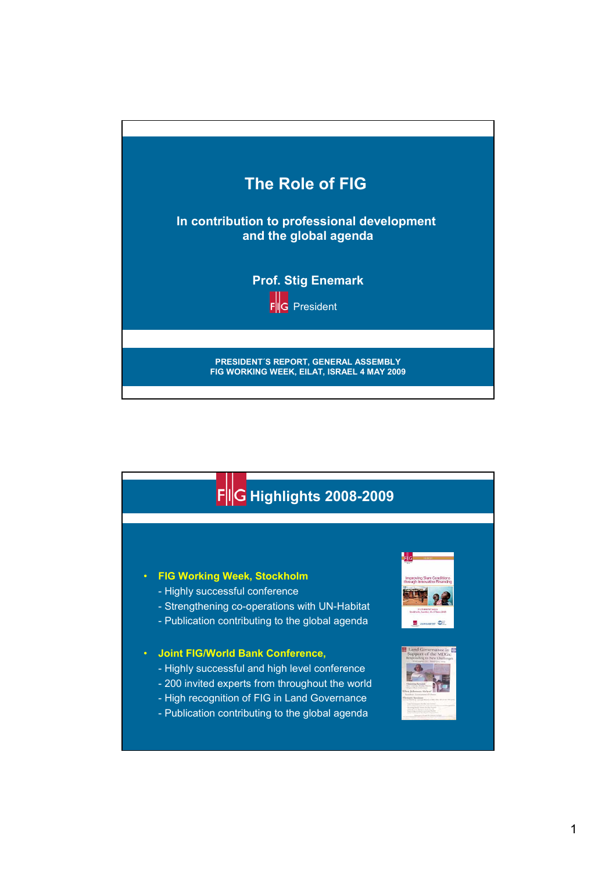



## • **FIG Working Week, Stockholm**

- Highly successful conference
- Strengthening co-operations with UN-Habitat
- Publication contributing to the global agenda

## • **Joint FIG/World Bank Conference,**

- Highly successful and high level conference
- 200 invited experts from throughout the world
- High recognition of FIG in Land Governance
- Publication contributing to the global agenda



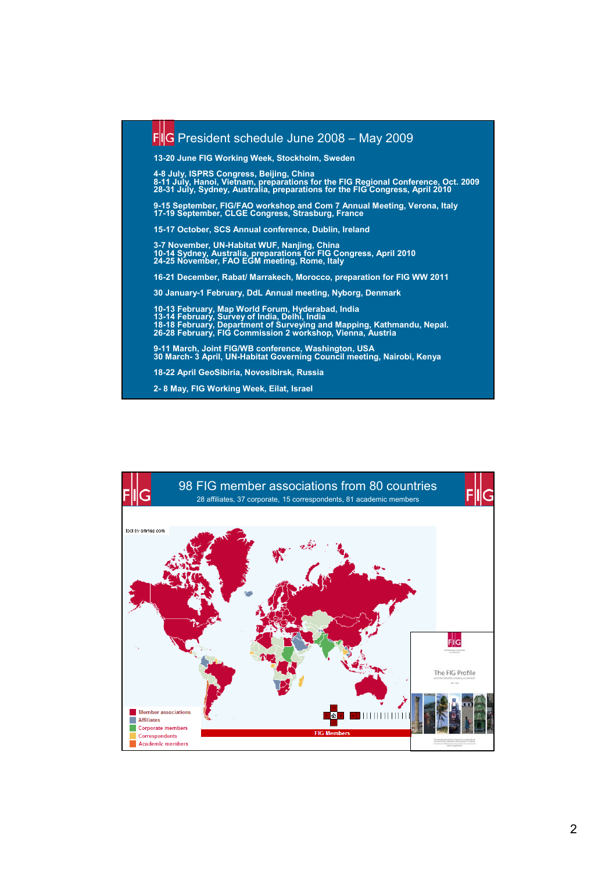

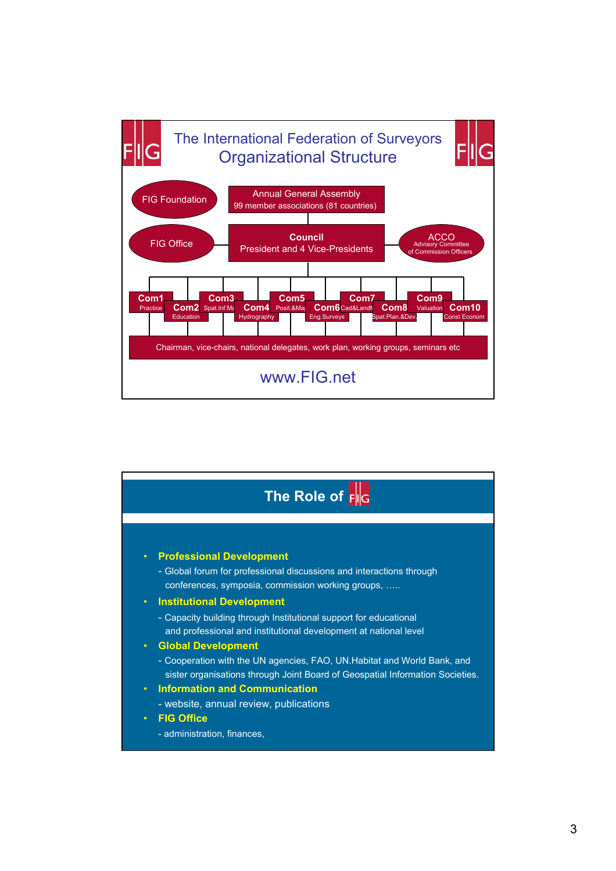

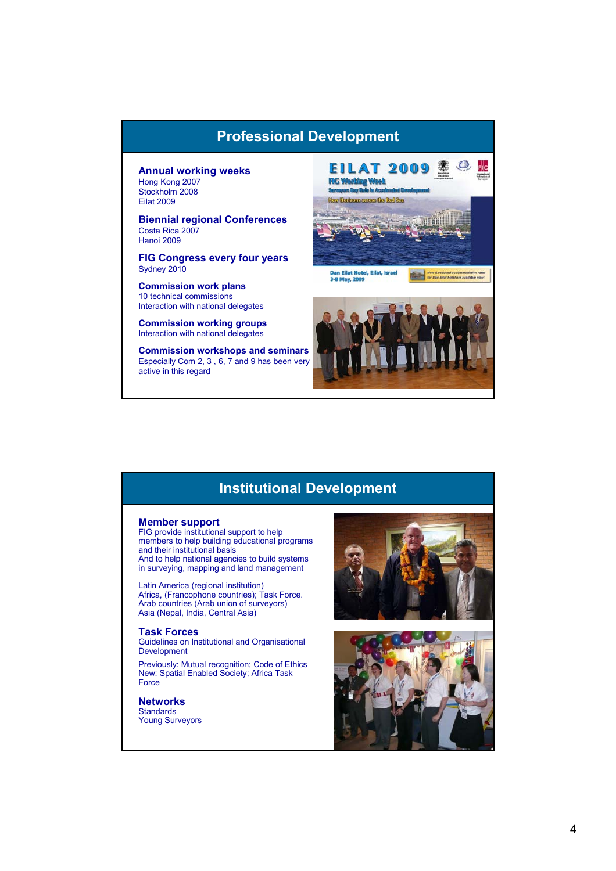## **Professional Development**

#### **Annual working weeks** Hong Kong 2007 Stockholm 2008 Eilat 2009

**Biennial regional Conferences** Costa Rica 2007 Hanoi 2009

**FIG Congress every four years** Sydney 2010

**Commission work plans**  10 technical commissions Interaction with national delegates

**Commission working groups** Interaction with national delegates

**Commission workshops and seminars** Especially Com 2, 3 , 6, 7 and 9 has been very active in this regard



# **Institutional Development**

### **Member support**

FIG provide institutional support to help members to help building educational programs and their institutional basis And to help national agencies to build systems in surveying, mapping and land management

Latin America (regional institution) Africa, (Francophone countries); Task Force. Arab countries (Arab union of surveyors) Asia (Nepal, India, Central Asia)

#### **Task Forces**

Guidelines on Institutional and Organisational Development

Previously: Mutual recognition; Code of Ethics New: Spatial Enabled Society; Africa Task Force

**Networks Standards** 

Young Surveyors



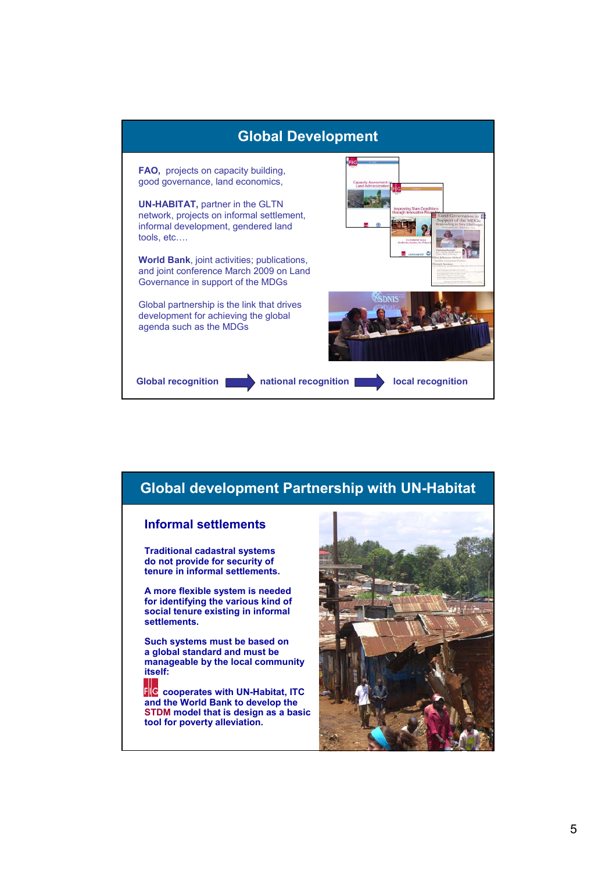

## **Global development Partnership with UN-Habitat Informal settlements Traditional cadastral systems do not provide for security of tenure in informal settlements. A more flexible system is needed for identifying the various kind of social tenure existing in informal settlements. Such systems must be based on a global standard and must be manageable by the local community itself:**  $F\parallel G$ **cooperates with UN-Habitat, ITC and the World Bank to develop the STDM model that is design as a basic tool for poverty alleviation.**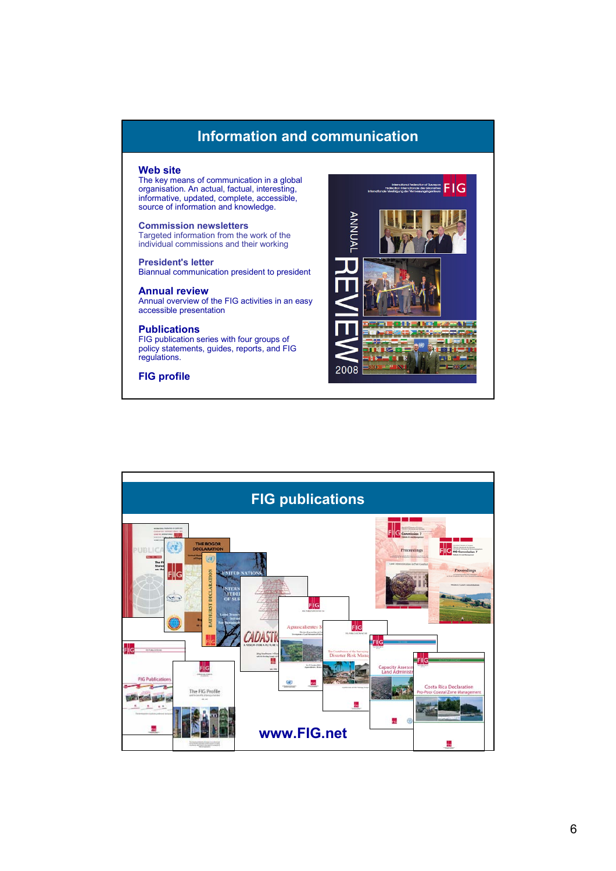# **Information and communication**

## **Web site**

The key means of communication in a global organisation. An actual, factual, interesting, informative, updated, complete, accessible, source of information and knowledge.

**Commission newsletters** Targeted information from the work of the individual commissions and their working

**President's letter** Biannual communication president to president

### **Annual review**

Annual overview of the FIG activities in an easy accessible presentation

## **Publications**

FIG publication series with four groups of policy statements, guides, reports, and FIG regulations.

**FIG profile**